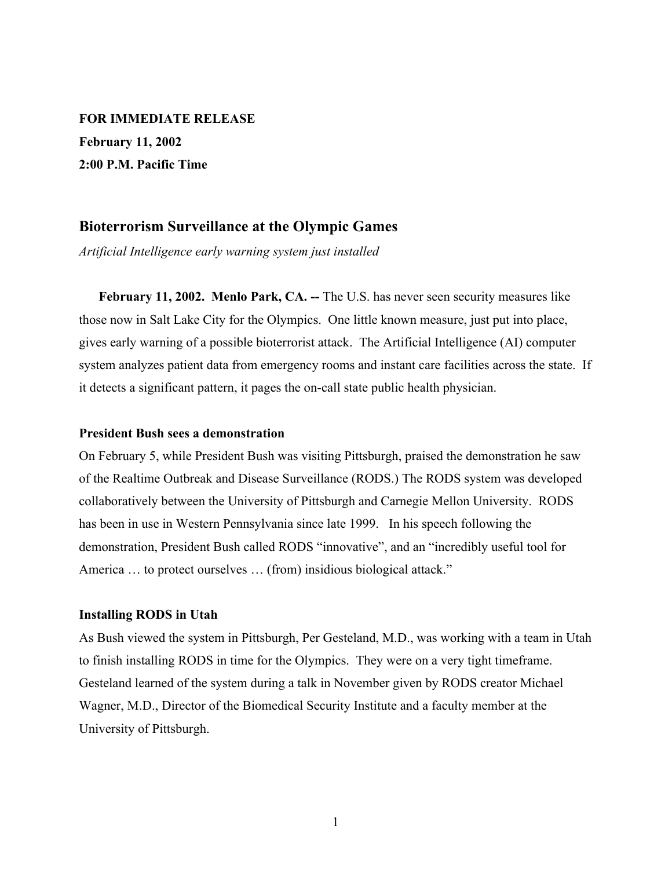**FOR IMMEDIATE RELEASE February 11, 2002 2:00 P.M. Pacific Time**

### **Bioterrorism Surveillance at the Olympic Games**

*Artificial Intelligence early warning system just installed*

**February 11, 2002. Menlo Park, CA. --** The U.S. has never seen security measures like those now in Salt Lake City for the Olympics. One little known measure, just put into place, gives early warning of a possible bioterrorist attack. The Artificial Intelligence (AI) computer system analyzes patient data from emergency rooms and instant care facilities across the state. If it detects a significant pattern, it pages the on-call state public health physician.

#### **President Bush sees a demonstration**

On February 5, while President Bush was visiting Pittsburgh, praised the demonstration he saw of the Realtime Outbreak and Disease Surveillance (RODS.) The RODS system was developed collaboratively between the University of Pittsburgh and Carnegie Mellon University. RODS has been in use in Western Pennsylvania since late 1999. In his speech following the demonstration, President Bush called RODS "innovative", and an "incredibly useful tool for America ... to protect ourselves ... (from) insidious biological attack."

#### **Installing RODS in Utah**

As Bush viewed the system in Pittsburgh, Per Gesteland, M.D., was working with a team in Utah to finish installing RODS in time for the Olympics. They were on a very tight timeframe. Gesteland learned of the system during a talk in November given by RODS creator Michael Wagner, M.D., Director of the Biomedical Security Institute and a faculty member at the University of Pittsburgh.

1